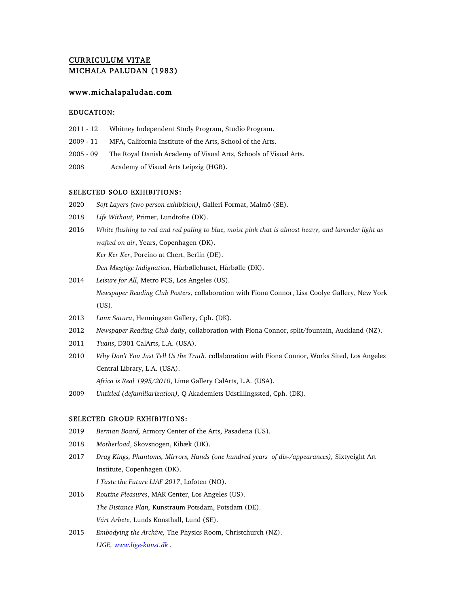# CURRICULUM VITAE MICHALA PALUDAN (1983)

# www.michalapaludan.com

# EDUCATION:

- 2011 12 Whitney Independent Study Program, Studio Program.
- 2009 11 MFA, California Institute of the Arts, School of the Arts.
- 2005 09 The Royal Danish Academy of Visual Arts, Schools of Visual Arts.
- 2008 Academy of Visual Arts Leipzig (HGB).

#### SELECTED SOLO EXHIBITIONS:

- 2020 *Soft Layers (two person exhibition)*, Galleri Format, Malmö (SE).
- 2018 *Life Without,* Primer, Lundtofte (DK).
- 2016 *White flushing to red and red paling to blue, moist pink that is almost heavy, and lavender light as wafted on air*, Years, Copenhagen (DK). *Ker Ker Ker*, Porcino at Chert, Berlin (DE).

*Den Mægtige Indignation*, Hårbøllehuset, Hårbølle (DK).

- 2014 *Leisure for All*, Metro PCS, Los Angeles (US). *Newspaper Reading Club Posters*, collaboration with Fiona Connor, Lisa Coolye Gallery, New York (US).
- 2013 *Lanx Satura*, Henningsen Gallery, Cph. (DK).
- 2012 *Newspaper Reading Club daily*, collaboration with Fiona Connor, split/fountain, Auckland (NZ).
- 2011 *Tuans*, D301 CalArts, L.A. (USA).
- 2010 *Why Don't You Just Tell Us the Truth*, collaboration with Fiona Connor, Works Sited, Los Angeles Central Library, L.A. (USA). *Africa is Real 1995/2010*, Lime Gallery CalArts, L.A. (USA).
- 2009 *Untitled (defamiliarization),* Q Akademiets Udstillingssted, Cph. (DK).

## SELECTED GROUP EXHIBITIONS:

- 2019 *Berman Board,* Armory Center of the Arts, Pasadena (US).
- 2018 *Motherload*, Skovsnogen, Kibæk (DK).
- 2017 *Drag Kings, Phantoms, Mirrors, Hands (one hundred years of dis-/appearances),* Sixtyeight Art Institute, Copenhagen (DK). *I Taste the Future LIAF 2017*, Lofoten (NO).
- 2016 *Routine Pleasures*, MAK Center, Los Angeles (US). *The Distance Plan,* Kunstraum Potsdam, Potsdam (DE). *Vårt Arbete,* Lunds Konsthall, Lund (SE).
- 2015 *Embodying the Archive,* The Physics Room, Christchurch (NZ). *LIGE, www.lige-kunst.dk .*